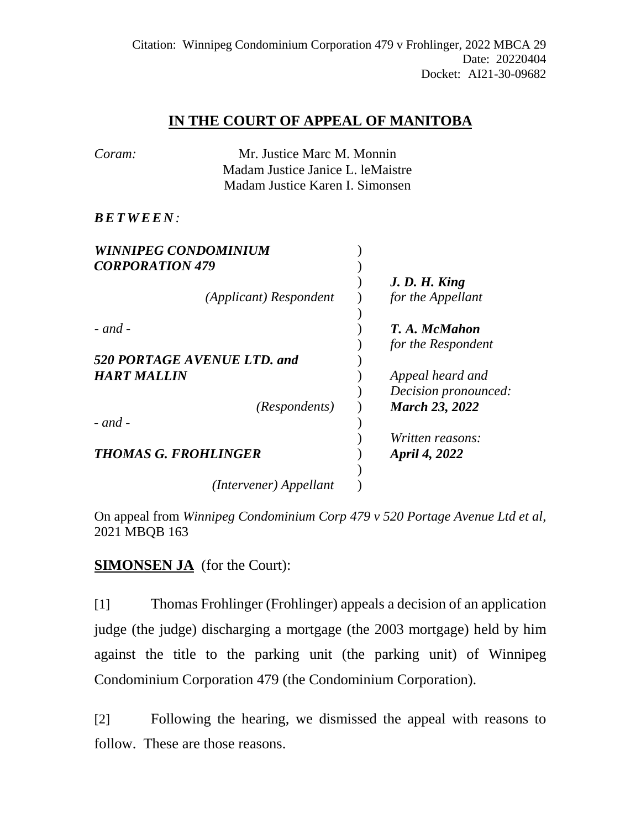# **IN THE COURT OF APPEAL OF MANITOBA**

| Coram: | Mr. Justice Marc M. Monnin        |
|--------|-----------------------------------|
|        | Madam Justice Janice L. leMaistre |
|        | Madam Justice Karen I. Simonsen   |

## *BETWEE N :*

| <b>WINNIPEG CONDOMINIUM</b> |                                     |
|-----------------------------|-------------------------------------|
| <b>CORPORATION 479</b>      |                                     |
| (Applicant) Respondent      | J. D. H. King<br>for the Appellant  |
| $-$ and $-$                 | T. A. McMahon<br>for the Respondent |
| 520 PORTAGE AVENUE LTD. and |                                     |
| <b>HART MALLIN</b>          | Appeal heard and                    |
|                             | Decision pronounced:                |
| <i>(Respondents)</i>        | <b>March 23, 2022</b>               |
| $-$ and $-$                 |                                     |
|                             | Written reasons:                    |
| <b>THOMAS G. FROHLINGER</b> | April 4, 2022                       |
|                             |                                     |
| (Intervener) Appellant      |                                     |

On appeal from *Winnipeg Condominium Corp 479 v 520 Portage Avenue Ltd et al*, 2021 MBQB 163

**SIMONSEN JA** (for the Court):

[1] Thomas Frohlinger (Frohlinger) appeals a decision of an application judge (the judge) discharging a mortgage (the 2003 mortgage) held by him against the title to the parking unit (the parking unit) of Winnipeg Condominium Corporation 479 (the Condominium Corporation).

[2] Following the hearing, we dismissed the appeal with reasons to follow. These are those reasons.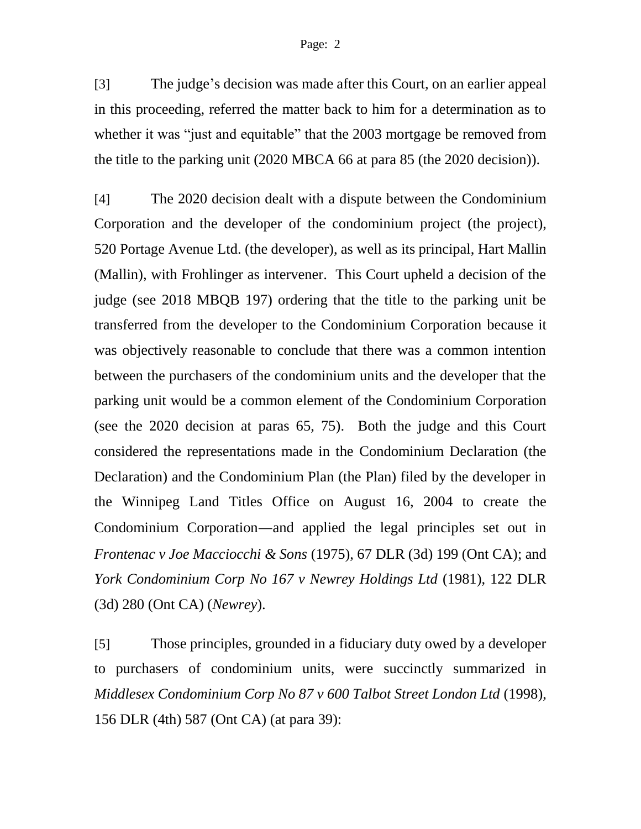[3] The judge's decision was made after this Court, on an earlier appeal in this proceeding, referred the matter back to him for a determination as to whether it was "just and equitable" that the 2003 mortgage be removed from the title to the parking unit (2020 MBCA 66 at para 85 (the 2020 decision)).

[4] The 2020 decision dealt with a dispute between the Condominium Corporation and the developer of the condominium project (the project), 520 Portage Avenue Ltd. (the developer), as well as its principal, Hart Mallin (Mallin), with Frohlinger as intervener. This Court upheld a decision of the judge (see 2018 MBQB 197) ordering that the title to the parking unit be transferred from the developer to the Condominium Corporation because it was objectively reasonable to conclude that there was a common intention between the purchasers of the condominium units and the developer that the parking unit would be a common element of the Condominium Corporation (see the 2020 decision at paras 65, 75). Both the judge and this Court considered the representations made in the Condominium Declaration (the Declaration) and the Condominium Plan (the Plan) filed by the developer in the Winnipeg Land Titles Office on August 16, 2004 to create the Condominium Corporation—and applied the legal principles set out in *Frontenac v Joe Macciocchi & Sons* (1975), 67 DLR (3d) 199 (Ont CA); and *York Condominium Corp No 167 v Newrey Holdings Ltd* (1981), 122 DLR (3d) 280 (Ont CA) (*Newrey*).

[5] Those principles, grounded in a fiduciary duty owed by a developer to purchasers of condominium units, were succinctly summarized in *Middlesex Condominium Corp No 87 v 600 Talbot Street London Ltd* (1998), 156 DLR (4th) 587 (Ont CA) (at para 39):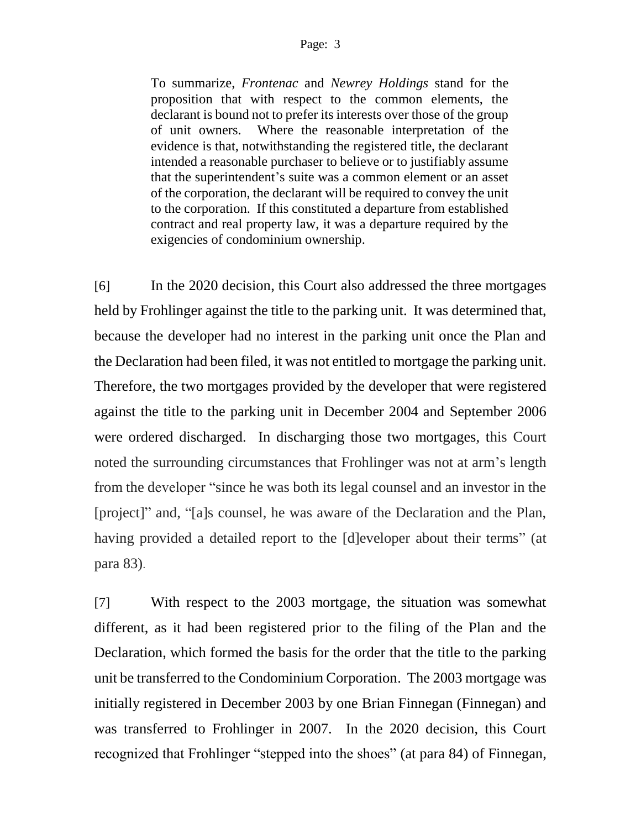To summarize, *Frontenac* and *Newrey Holdings* stand for the proposition that with respect to the common elements, the declarant is bound not to prefer its interests over those of the group of unit owners. Where the reasonable interpretation of the evidence is that, notwithstanding the registered title, the declarant intended a reasonable purchaser to believe or to justifiably assume that the superintendent's suite was a common element or an asset of the corporation, the declarant will be required to convey the unit to the corporation. If this constituted a departure from established contract and real property law, it was a departure required by the exigencies of condominium ownership.

[6] In the 2020 decision, this Court also addressed the three mortgages held by Frohlinger against the title to the parking unit. It was determined that, because the developer had no interest in the parking unit once the Plan and the Declaration had been filed, it was not entitled to mortgage the parking unit. Therefore, the two mortgages provided by the developer that were registered against the title to the parking unit in December 2004 and September 2006 were ordered discharged. In discharging those two mortgages, this Court noted the surrounding circumstances that Frohlinger was not at arm's length from the developer "since he was both its legal counsel and an investor in the [project]" and, "[a]s counsel, he was aware of the Declaration and the Plan, having provided a detailed report to the [d]eveloper about their terms" (at para 83).

[7] With respect to the 2003 mortgage, the situation was somewhat different, as it had been registered prior to the filing of the Plan and the Declaration, which formed the basis for the order that the title to the parking unit be transferred to the Condominium Corporation. The 2003 mortgage was initially registered in December 2003 by one Brian Finnegan (Finnegan) and was transferred to Frohlinger in 2007. In the 2020 decision, this Court recognized that Frohlinger "stepped into the shoes" (at para 84) of Finnegan,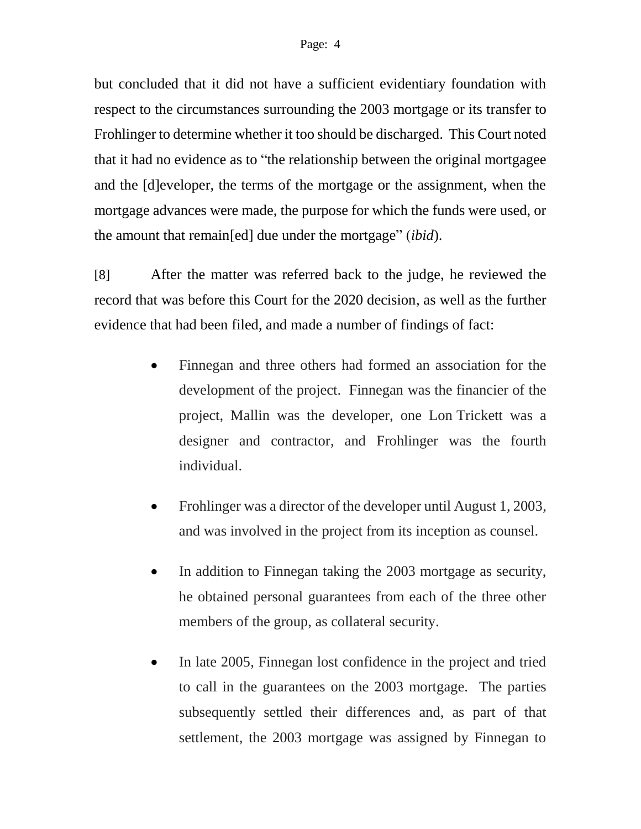but concluded that it did not have a sufficient evidentiary foundation with respect to the circumstances surrounding the 2003 mortgage or its transfer to Frohlinger to determine whether it too should be discharged. This Court noted that it had no evidence as to "the relationship between the original mortgagee and the [d]eveloper, the terms of the mortgage or the assignment, when the mortgage advances were made, the purpose for which the funds were used, or the amount that remain[ed] due under the mortgage" (*ibid*).

[8] After the matter was referred back to the judge, he reviewed the record that was before this Court for the 2020 decision, as well as the further evidence that had been filed, and made a number of findings of fact:

- Finnegan and three others had formed an association for the development of the project. Finnegan was the financier of the project, Mallin was the developer, one Lon Trickett was a designer and contractor, and Frohlinger was the fourth individual.
- Frohlinger was a director of the developer until August 1, 2003, and was involved in the project from its inception as counsel.
- In addition to Finnegan taking the 2003 mortgage as security, he obtained personal guarantees from each of the three other members of the group, as collateral security.
- In late 2005, Finnegan lost confidence in the project and tried to call in the guarantees on the 2003 mortgage. The parties subsequently settled their differences and, as part of that settlement, the 2003 mortgage was assigned by Finnegan to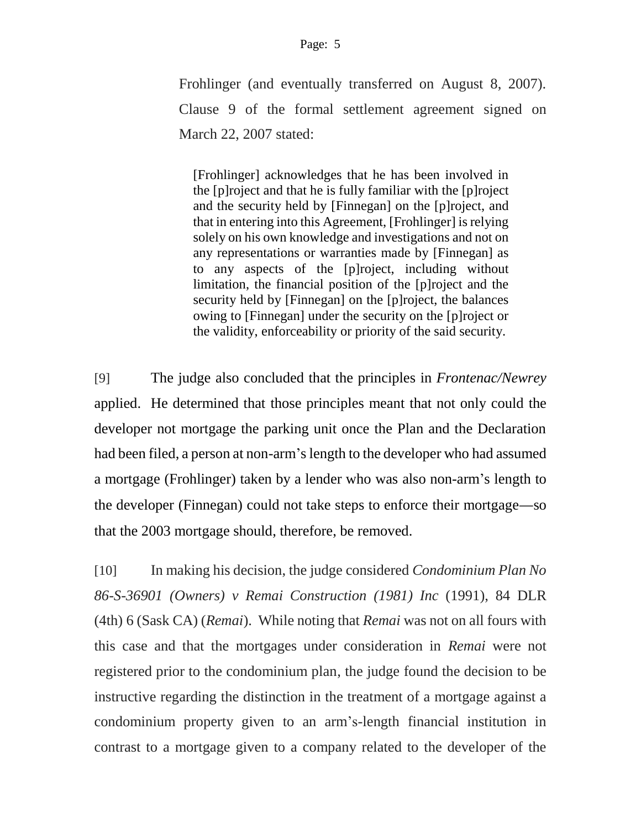Frohlinger (and eventually transferred on August 8, 2007). Clause 9 of the formal settlement agreement signed on March 22, 2007 stated:

[Frohlinger] acknowledges that he has been involved in the [p]roject and that he is fully familiar with the [p]roject and the security held by [Finnegan] on the [p]roject, and that in entering into this Agreement, [Frohlinger] is relying solely on his own knowledge and investigations and not on any representations or warranties made by [Finnegan] as to any aspects of the [p]roject, including without limitation, the financial position of the [p]roject and the security held by [Finnegan] on the [p]roject, the balances owing to [Finnegan] under the security on the [p]roject or the validity, enforceability or priority of the said security.

[9] The judge also concluded that the principles in *Frontenac/Newrey* applied. He determined that those principles meant that not only could the developer not mortgage the parking unit once the Plan and the Declaration had been filed, a person at non-arm's length to the developer who had assumed a mortgage (Frohlinger) taken by a lender who was also non-arm's length to the developer (Finnegan) could not take steps to enforce their mortgage—so that the 2003 mortgage should, therefore, be removed.

[10] In making his decision, the judge considered *Condominium Plan No 86-S-36901 (Owners) v Remai Construction (1981) Inc* (1991), 84 DLR (4th) 6 (Sask CA) (*Remai*). While noting that *Remai* was not on all fours with this case and that the mortgages under consideration in *Remai* were not registered prior to the condominium plan, the judge found the decision to be instructive regarding the distinction in the treatment of a mortgage against a condominium property given to an arm's-length financial institution in contrast to a mortgage given to a company related to the developer of the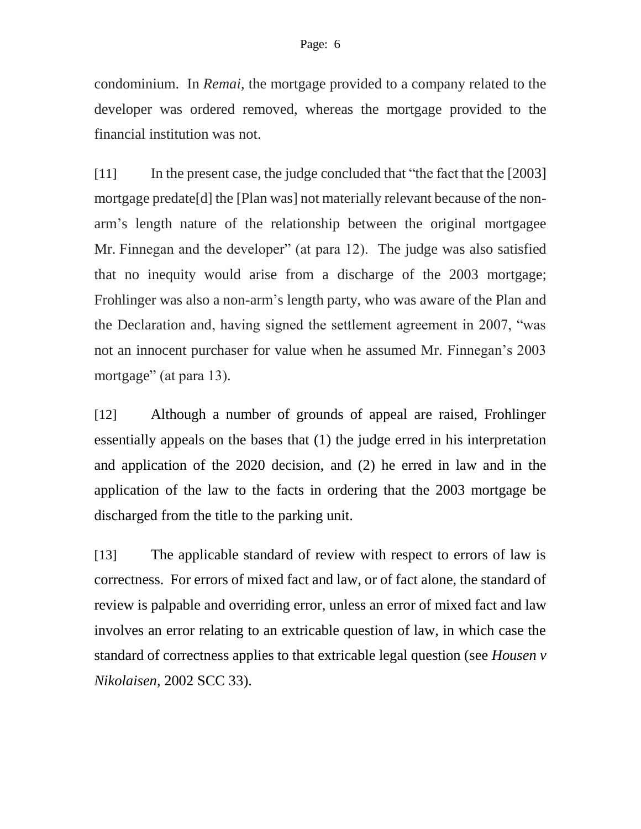condominium. In *Remai*, the mortgage provided to a company related to the developer was ordered removed, whereas the mortgage provided to the financial institution was not.

[11] In the present case, the judge concluded that "the fact that the [2003] mortgage predate[d] the [Plan was] not materially relevant because of the nonarm's length nature of the relationship between the original mortgagee Mr. Finnegan and the developer" (at para 12). The judge was also satisfied that no inequity would arise from a discharge of the 2003 mortgage; Frohlinger was also a non-arm's length party, who was aware of the Plan and the Declaration and, having signed the settlement agreement in 2007, "was not an innocent purchaser for value when he assumed Mr. Finnegan's 2003 mortgage" (at para 13).

[12] Although a number of grounds of appeal are raised, Frohlinger essentially appeals on the bases that (1) the judge erred in his interpretation and application of the 2020 decision, and (2) he erred in law and in the application of the law to the facts in ordering that the 2003 mortgage be discharged from the title to the parking unit.

[13] The applicable standard of review with respect to errors of law is correctness. For errors of mixed fact and law, or of fact alone, the standard of review is palpable and overriding error, unless an error of mixed fact and law involves an error relating to an extricable question of law, in which case the standard of correctness applies to that extricable legal question (see *Housen v Nikolaisen*, 2002 SCC 33).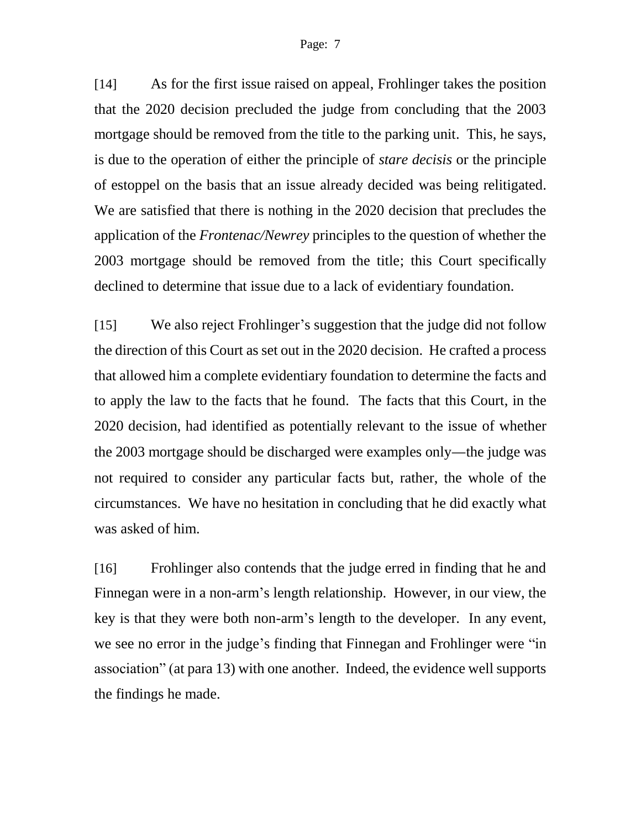[14] As for the first issue raised on appeal, Frohlinger takes the position that the 2020 decision precluded the judge from concluding that the 2003 mortgage should be removed from the title to the parking unit. This, he says, is due to the operation of either the principle of *stare decisis* or the principle of estoppel on the basis that an issue already decided was being relitigated. We are satisfied that there is nothing in the 2020 decision that precludes the application of the *Frontenac/Newrey* principles to the question of whether the 2003 mortgage should be removed from the title; this Court specifically declined to determine that issue due to a lack of evidentiary foundation.

[15] We also reject Frohlinger's suggestion that the judge did not follow the direction of this Court as set out in the 2020 decision. He crafted a process that allowed him a complete evidentiary foundation to determine the facts and to apply the law to the facts that he found. The facts that this Court, in the 2020 decision, had identified as potentially relevant to the issue of whether the 2003 mortgage should be discharged were examples only—the judge was not required to consider any particular facts but, rather, the whole of the circumstances. We have no hesitation in concluding that he did exactly what was asked of him.

[16] Frohlinger also contends that the judge erred in finding that he and Finnegan were in a non-arm's length relationship. However, in our view, the key is that they were both non-arm's length to the developer. In any event, we see no error in the judge's finding that Finnegan and Frohlinger were "in association" (at para 13) with one another. Indeed, the evidence well supports the findings he made.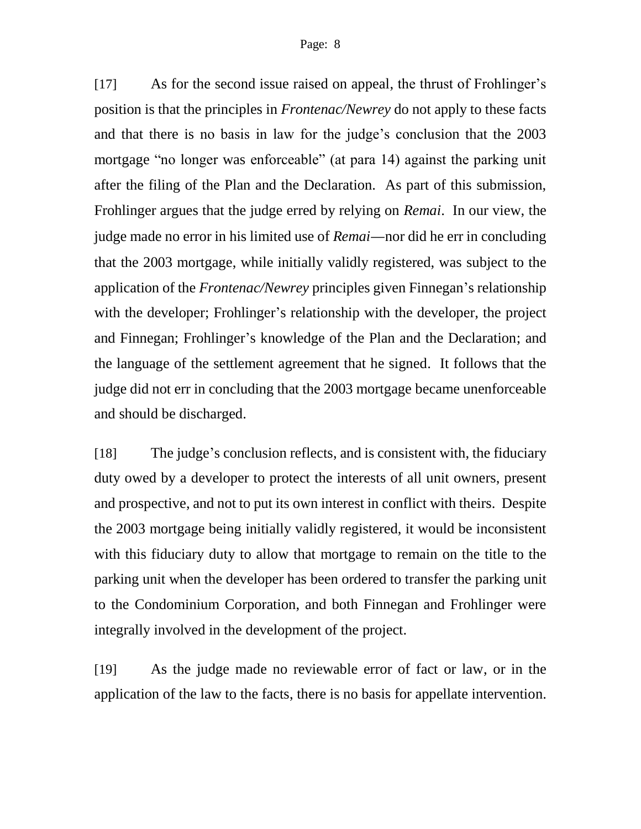[17] As for the second issue raised on appeal, the thrust of Frohlinger's position is that the principles in *Frontenac/Newrey* do not apply to these facts and that there is no basis in law for the judge's conclusion that the 2003 mortgage "no longer was enforceable" (at para 14) against the parking unit after the filing of the Plan and the Declaration. As part of this submission, Frohlinger argues that the judge erred by relying on *Remai*. In our view, the judge made no error in his limited use of *Remai*—nor did he err in concluding that the 2003 mortgage, while initially validly registered, was subject to the application of the *Frontenac/Newrey* principles given Finnegan's relationship with the developer; Frohlinger's relationship with the developer, the project and Finnegan; Frohlinger's knowledge of the Plan and the Declaration; and the language of the settlement agreement that he signed. It follows that the judge did not err in concluding that the 2003 mortgage became unenforceable and should be discharged.

[18] The judge's conclusion reflects, and is consistent with, the fiduciary duty owed by a developer to protect the interests of all unit owners, present and prospective, and not to put its own interest in conflict with theirs. Despite the 2003 mortgage being initially validly registered, it would be inconsistent with this fiduciary duty to allow that mortgage to remain on the title to the parking unit when the developer has been ordered to transfer the parking unit to the Condominium Corporation, and both Finnegan and Frohlinger were integrally involved in the development of the project.

[19] As the judge made no reviewable error of fact or law, or in the application of the law to the facts, there is no basis for appellate intervention.